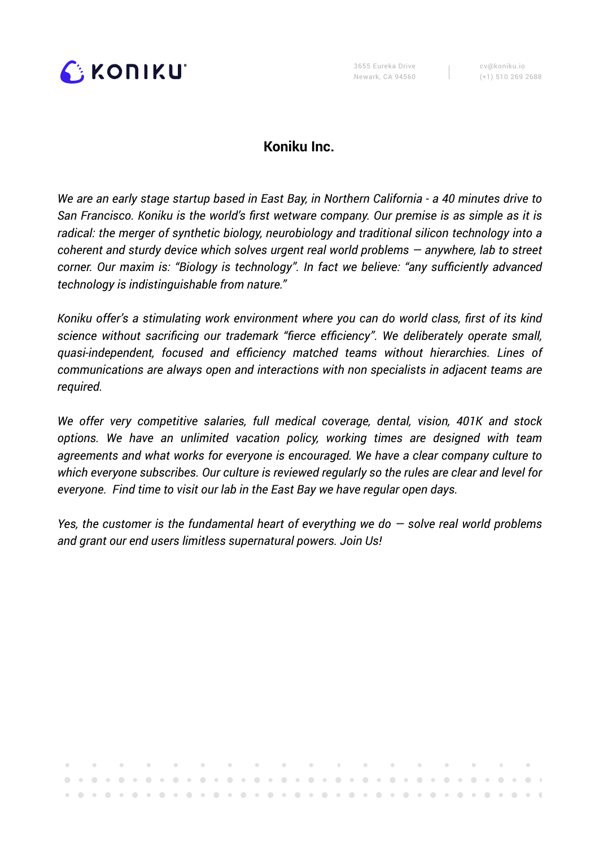

. . . . . . . . . .

# **Koniku Inc.**

*We are an early stage startup based in East Bay, in Northern California - a 40 minutes drive to San Francisco. Koniku is the world's first wetware company. Our premise is as simple as it is radical: the merger of synthetic biology, neurobiology and traditional silicon technology into a coherent and sturdy device which solves urgent real world problems — anywhere, lab to street corner. Our maxim is: "Biology is technology". In fact we believe: "any sufficiently advanced technology is indistinguishable from nature."* 

*Koniku offer's a stimulating work environment where you can do world class, first of its kind science without sacrificing our trademark "fierce efficiency". We deliberately operate small, quasi-independent, focused and efficiency matched teams without hierarchies. Lines of communications are always open and interactions with non specialists in adjacent teams are required.* 

*We offer very competitive salaries, full medical coverage, dental, vision, 401K and stock options. We have an unlimited vacation policy, working times are designed with team agreements and what works for everyone is encouraged. We have a clear company culture to which everyone subscribes. Our culture is reviewed regularly so the rules are clear and level for everyone. Find time to visit our lab in the East Bay we have regular open days.* 

*Yes, the customer is the fundamental heart of everything we do — solve real world problems and grant our end users limitless supernatural powers. Join Us!* 

**CONTRACTOR CONTRACTOR**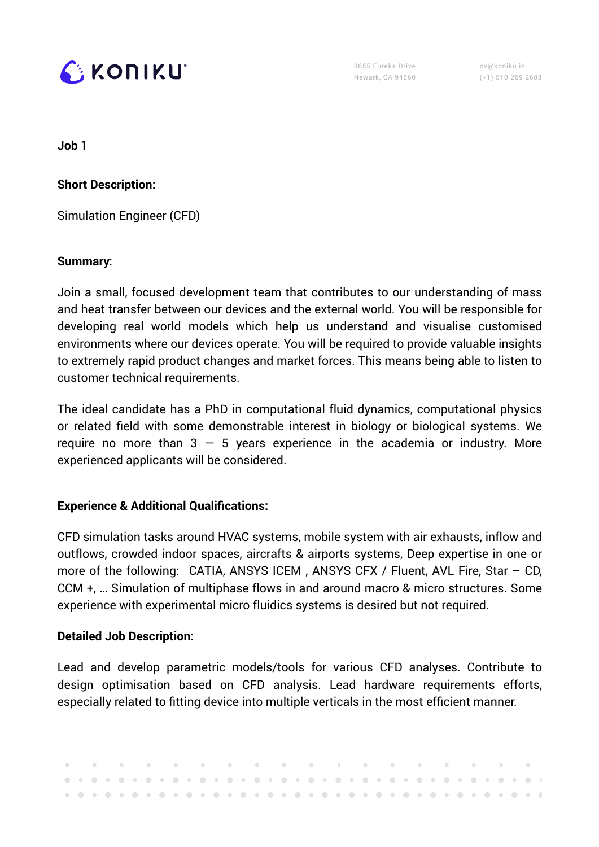

cv@koniku.io (+1) 510 269 2688

**Job 1**

**Short Description:**

Simulation Engineer (CFD)

### **Summary:**

Join a small, focused development team that contributes to our understanding of mass and heat transfer between our devices and the external world. You will be responsible for developing real world models which help us understand and visualise customised environments where our devices operate. You will be required to provide valuable insights to extremely rapid product changes and market forces. This means being able to listen to customer technical requirements.

The ideal candidate has a PhD in computational fluid dynamics, computational physics or related field with some demonstrable interest in biology or biological systems. We require no more than  $3 - 5$  years experience in the academia or industry. More experienced applicants will be considered.

## **Experience & Additional Qualifications:**

CFD simulation tasks around HVAC systems, mobile system with air exhausts, inflow and outflows, crowded indoor spaces, aircrafts & airports systems, Deep expertise in one or more of the following: CATIA, ANSYS ICEM , ANSYS CFX / Fluent, AVL Fire, Star – CD, CCM +, … Simulation of multiphase flows in and around macro & micro structures. Some experience with experimental micro fluidics systems is desired but not required.

## **Detailed Job Description:**

Lead and develop parametric models/tools for various CFD analyses. Contribute to design optimisation based on CFD analysis. Lead hardware requirements efforts, especially related to fitting device into multiple verticals in the most efficient manner.

 $\mathcal{L} = \mathcal{L}$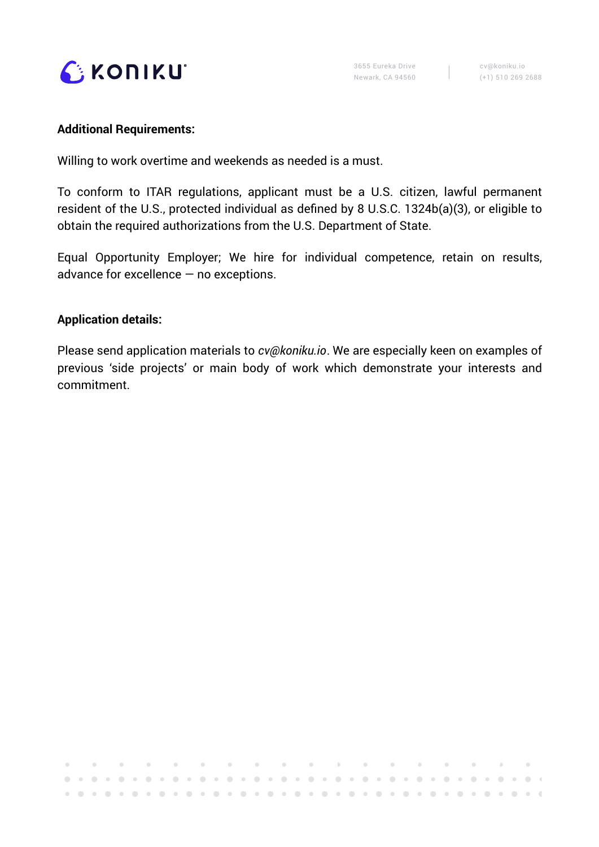

#### **Additional Requirements:**

Willing to work overtime and weekends as needed is a must.

To conform to ITAR regulations, applicant must be a U.S. citizen, lawful permanent resident of the U.S., protected individual as defined by 8 U.S.C. 1324b(a)(3), or eligible to obtain the required authorizations from the U.S. Department of State.

Equal Opportunity Employer; We hire for individual competence, retain on results, advance for excellence — no exceptions.

### **Application details:**

 $\sim 0.1$ 

 $\bullet$ 

Please send application materials to *[cv@koniku.io](mailto:cv@koniku.io)*. We are especially keen on examples of previous 'side projects' or main body of work which demonstrate your interests and commitment.

 $\sim 10^{-11}$ 

 $\sim 10^{-11}$  $\bar{J}$  .  $\bar{f}$ 

r.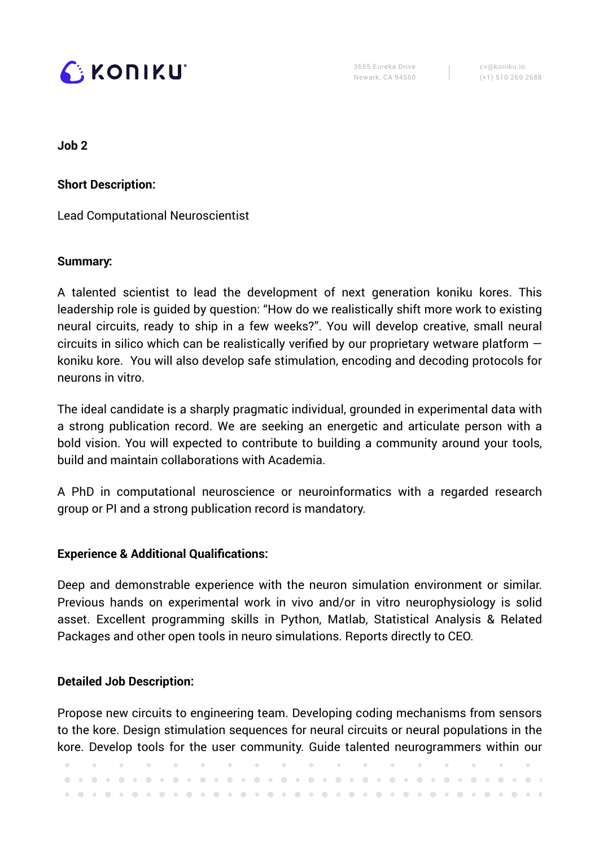

cv@koniku.io (+1) 510 269 2688

**Job 2**

**Short Description:** 

Lead Computational Neuroscientist

### **Summary:**

A talented scientist to lead the development of next generation koniku kores. This leadership role is guided by question: "How do we realistically shift more work to existing neural circuits, ready to ship in a few weeks?". You will develop creative, small neural circuits in silico which can be realistically verified by our proprietary wetware platform  $$ koniku kore. You will also develop safe stimulation, encoding and decoding protocols for neurons in vitro.

The ideal candidate is a sharply pragmatic individual, grounded in experimental data with a strong publication record. We are seeking an energetic and articulate person with a bold vision. You will expected to contribute to building a community around your tools, build and maintain collaborations with Academia.

A PhD in computational neuroscience or neuroinformatics with a regarded research group or PI and a strong publication record is mandatory.

### **Experience & Additional Qualifications:**

Deep and demonstrable experience with the neuron simulation environment or similar. Previous hands on experimental work in vivo and/or in vitro neurophysiology is solid asset. Excellent programming skills in Python, Matlab, Statistical Analysis & Related Packages and other open tools in neuro simulations. Reports directly to CEO.

### **Detailed Job Description:**

Propose new circuits to engineering team. Developing coding mechanisms from sensors to the kore. Design stimulation sequences for neural circuits or neural populations in the kore. Develop tools for the user community. Guide talented neurogrammers within our

|  |  |  |  |  |  |  |  |  |  |  |  |  |  |  |  |  | . As we have a strong and the strong and the strong strong and the strong strong strong and the strong strong strong strong strong strong strong strong strong strong strong strong strong strong strong strong strong strong |
|--|--|--|--|--|--|--|--|--|--|--|--|--|--|--|--|--|-------------------------------------------------------------------------------------------------------------------------------------------------------------------------------------------------------------------------------|
|  |  |  |  |  |  |  |  |  |  |  |  |  |  |  |  |  |                                                                                                                                                                                                                               |
|  |  |  |  |  |  |  |  |  |  |  |  |  |  |  |  |  |                                                                                                                                                                                                                               |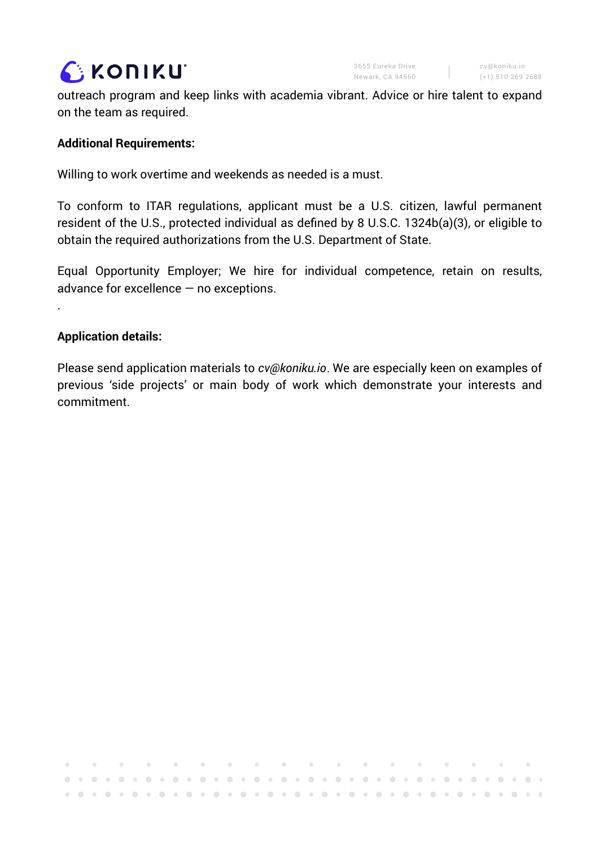

**COLL** 

outreach program and keep links with academia vibrant. Advice or hire talent to expand on the team as required.

### **Additional Requirements:**

Willing to work overtime and weekends as needed is a must.

To conform to ITAR regulations, applicant must be a U.S. citizen, lawful permanent resident of the U.S., protected individual as defined by 8 U.S.C. 1324b(a)(3), or eligible to obtain the required authorizations from the U.S. Department of State.

Equal Opportunity Employer; We hire for individual competence, retain on results, advance for excellence — no exceptions.

#### **Application details:**

.

Please send application materials to *[cv@koniku.io](mailto:cv@koniku.io)*. We are especially keen on examples of previous 'side projects' or main body of work which demonstrate your interests and commitment.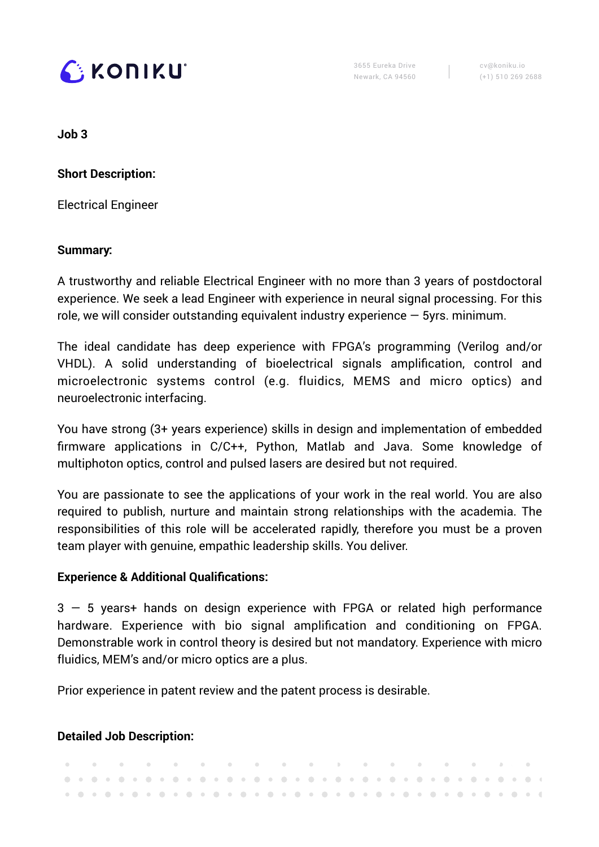

cv@koniku.io (+1) 510 269 2688

**Job 3**

**Short Description:** 

Electrical Engineer

### **Summary:**

A trustworthy and reliable Electrical Engineer with no more than 3 years of postdoctoral experience. We seek a lead Engineer with experience in neural signal processing. For this role, we will consider outstanding equivalent industry experience  $-$  5yrs. minimum.

The ideal candidate has deep experience with FPGA's programming (Verilog and/or VHDL). A solid understanding of bioelectrical signals amplification, control and microelectronic systems control (e.g. fluidics, MEMS and micro optics) and neuroelectronic interfacing.

You have strong (3+ years experience) skills in design and implementation of embedded firmware applications in C/C++, Python, Matlab and Java. Some knowledge of multiphoton optics, control and pulsed lasers are desired but not required.

You are passionate to see the applications of your work in the real world. You are also required to publish, nurture and maintain strong relationships with the academia. The responsibilities of this role will be accelerated rapidly, therefore you must be a proven team player with genuine, empathic leadership skills. You deliver.

## **Experience & Additional Qualifications:**

3 — 5 years+ hands on design experience with FPGA or related high performance hardware. Experience with bio signal amplification and conditioning on FPGA. Demonstrable work in control theory is desired but not mandatory. Experience with micro fluidics, MEM's and/or micro optics are a plus.

Prior experience in patent review and the patent process is desirable.

## **Detailed Job Description:**

|  |  |  |  |  |  |  |  |  |  |  |  |  |  |  |  |  | . A second constant of the constant of the constant $\mathbf{r}$ and $\mathbf{r}$ and $\mathbf{r}$ |
|--|--|--|--|--|--|--|--|--|--|--|--|--|--|--|--|--|----------------------------------------------------------------------------------------------------|
|  |  |  |  |  |  |  |  |  |  |  |  |  |  |  |  |  |                                                                                                    |
|  |  |  |  |  |  |  |  |  |  |  |  |  |  |  |  |  |                                                                                                    |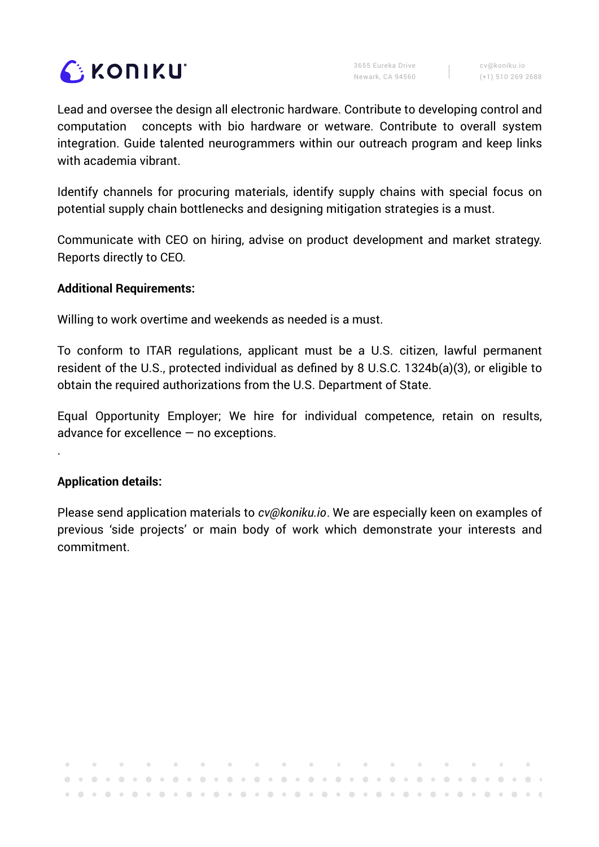

**College** 

Lead and oversee the design all electronic hardware. Contribute to developing control and computation concepts with bio hardware or wetware. Contribute to overall system integration. Guide talented neurogrammers within our outreach program and keep links with academia vibrant.

Identify channels for procuring materials, identify supply chains with special focus on potential supply chain bottlenecks and designing mitigation strategies is a must.

Communicate with CEO on hiring, advise on product development and market strategy. Reports directly to CEO.

### **Additional Requirements:**

Willing to work overtime and weekends as needed is a must.

To conform to ITAR regulations, applicant must be a U.S. citizen, lawful permanent resident of the U.S., protected individual as defined by 8 U.S.C. 1324b(a)(3), or eligible to obtain the required authorizations from the U.S. Department of State.

Equal Opportunity Employer; We hire for individual competence, retain on results, advance for excellence — no exceptions.

### **Application details:**

.

Please send application materials to *[cv@koniku.io](mailto:cv@koniku.io)*. We are especially keen on examples of previous 'side projects' or main body of work which demonstrate your interests and commitment.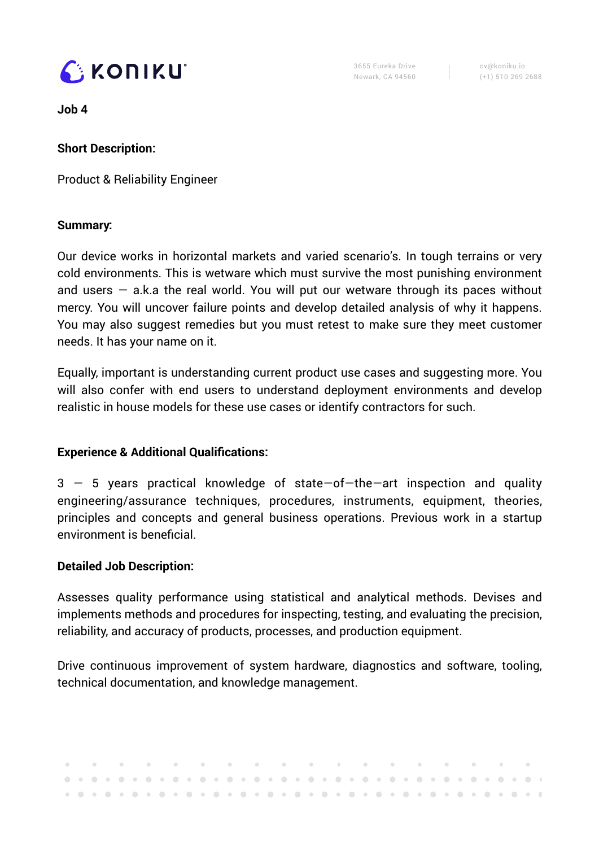

cv@koniku.io (+1) 510 269 2688

**Job 4**

## **Short Description:**

Product & Reliability Engineer

## **Summary:**

Our device works in horizontal markets and varied scenario's. In tough terrains or very cold environments. This is wetware which must survive the most punishing environment and users  $-$  a.k.a the real world. You will put our wetware through its paces without mercy. You will uncover failure points and develop detailed analysis of why it happens. You may also suggest remedies but you must retest to make sure they meet customer needs. It has your name on it.

Equally, important is understanding current product use cases and suggesting more. You will also confer with end users to understand deployment environments and develop realistic in house models for these use cases or identify contractors for such.

## **Experience & Additional Qualifications:**

3 — 5 years practical knowledge of state—of—the—art inspection and quality engineering/assurance techniques, procedures, instruments, equipment, theories, principles and concepts and general business operations. Previous work in a startup environment is beneficial.

## **Detailed Job Description:**

Assesses quality performance using statistical and analytical methods. Devises and implements methods and procedures for inspecting, testing, and evaluating the precision, reliability, and accuracy of products, processes, and production equipment.

Drive continuous improvement of system hardware, diagnostics and software, tooling, technical documentation, and knowledge management.

|  |  |  |  |  |  |  |  |  |  |  |  |  |  |  |  |  | . A second construction of the construction of the construction of the construction of $\mathbf{r}_i$ |  |
|--|--|--|--|--|--|--|--|--|--|--|--|--|--|--|--|--|-------------------------------------------------------------------------------------------------------|--|
|  |  |  |  |  |  |  |  |  |  |  |  |  |  |  |  |  |                                                                                                       |  |
|  |  |  |  |  |  |  |  |  |  |  |  |  |  |  |  |  |                                                                                                       |  |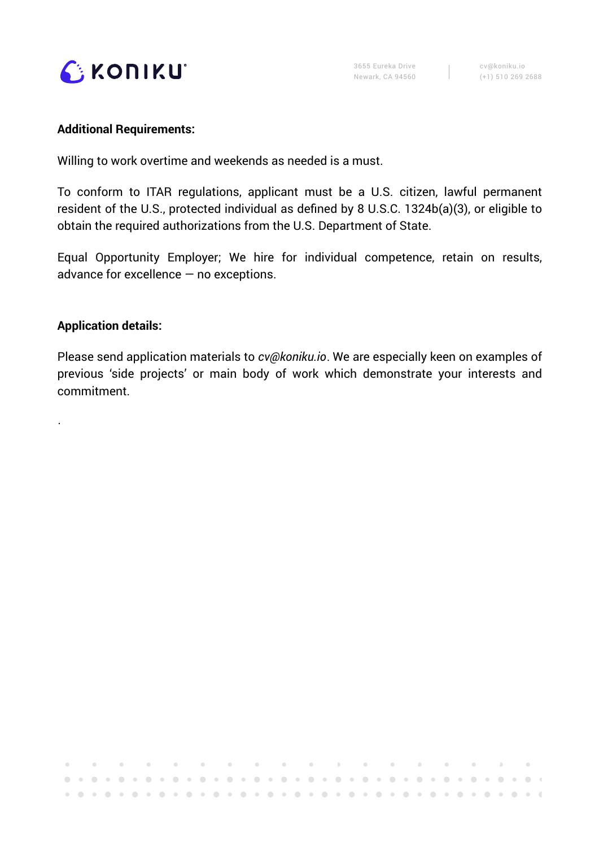

#### **Additional Requirements:**

Willing to work overtime and weekends as needed is a must.

To conform to ITAR regulations, applicant must be a U.S. citizen, lawful permanent resident of the U.S., protected individual as defined by 8 U.S.C. 1324b(a)(3), or eligible to obtain the required authorizations from the U.S. Department of State.

Equal Opportunity Employer; We hire for individual competence, retain on results, advance for excellence — no exceptions.

### **Application details:**

.

Please send application materials to *[cv@koniku.io](mailto:cv@koniku.io)*. We are especially keen on examples of previous 'side projects' or main body of work which demonstrate your interests and commitment.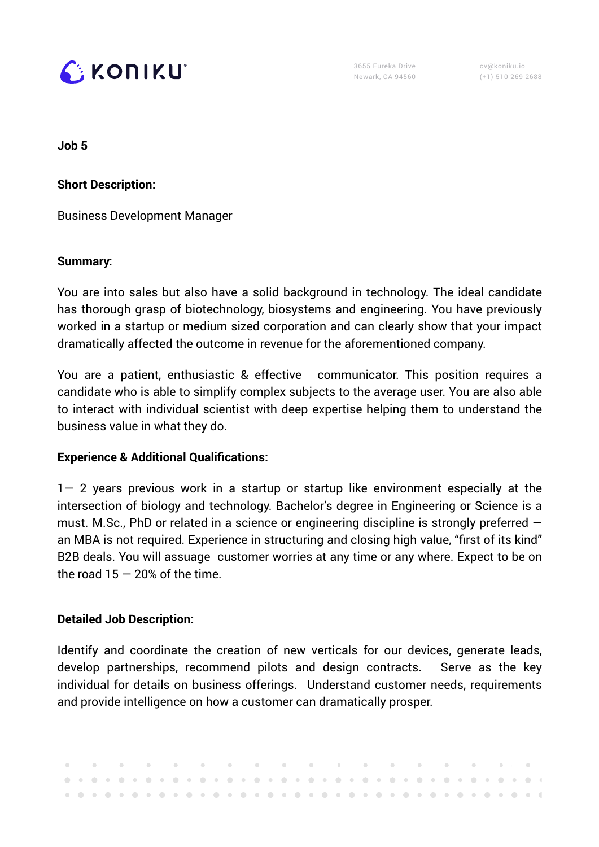

cv@koniku.io (+1) 510 269 2688

**Job 5**

**Short Description:** 

Business Development Manager

### **Summary:**

You are into sales but also have a solid background in technology. The ideal candidate has thorough grasp of biotechnology, biosystems and engineering. You have previously worked in a startup or medium sized corporation and can clearly show that your impact dramatically affected the outcome in revenue for the aforementioned company.

You are a patient, enthusiastic & effective communicator. This position requires a candidate who is able to simplify complex subjects to the average user. You are also able to interact with individual scientist with deep expertise helping them to understand the business value in what they do.

### **Experience & Additional Qualifications:**

1— 2 years previous work in a startup or startup like environment especially at the intersection of biology and technology. Bachelor's degree in Engineering or Science is a must. M.Sc., PhD or related in a science or engineering discipline is strongly preferred an MBA is not required. Experience in structuring and closing high value, "first of its kind" B2B deals. You will assuage customer worries at any time or any where. Expect to be on the road  $15 - 20\%$  of the time.

### **Detailed Job Description:**

Identify and coordinate the creation of new verticals for our devices, generate leads, develop partnerships, recommend pilots and design contracts. Serve as the key individual for details on business offerings. Understand customer needs, requirements and provide intelligence on how a customer can dramatically prosper.

|  |  |  |  |  |  |  |  |  |  |  |  |  |  |  |  |  | . A second construction of the construction of the construction of the construction of the construction of the $\alpha$ |  |
|--|--|--|--|--|--|--|--|--|--|--|--|--|--|--|--|--|-------------------------------------------------------------------------------------------------------------------------|--|
|  |  |  |  |  |  |  |  |  |  |  |  |  |  |  |  |  |                                                                                                                         |  |
|  |  |  |  |  |  |  |  |  |  |  |  |  |  |  |  |  |                                                                                                                         |  |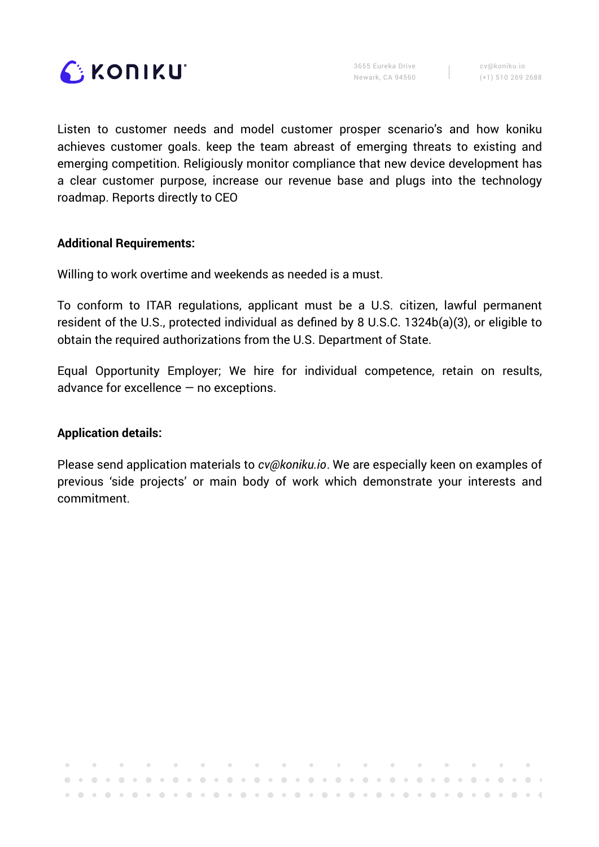

cv@koniku.io (+1) 510 269 2688

Listen to customer needs and model customer prosper scenario's and how koniku achieves customer goals. keep the team abreast of emerging threats to existing and emerging competition. Religiously monitor compliance that new device development has a clear customer purpose, increase our revenue base and plugs into the technology roadmap. Reports directly to CEO

#### **Additional Requirements:**

Willing to work overtime and weekends as needed is a must.

To conform to ITAR regulations, applicant must be a U.S. citizen, lawful permanent resident of the U.S., protected individual as defined by 8 U.S.C. 1324b(a)(3), or eligible to obtain the required authorizations from the U.S. Department of State.

Equal Opportunity Employer; We hire for individual competence, retain on results, advance for excellence — no exceptions.

### **Application details:**

Please send application materials to *[cv@koniku.io](mailto:cv@koniku.io)*. We are especially keen on examples of previous 'side projects' or main body of work which demonstrate your interests and commitment.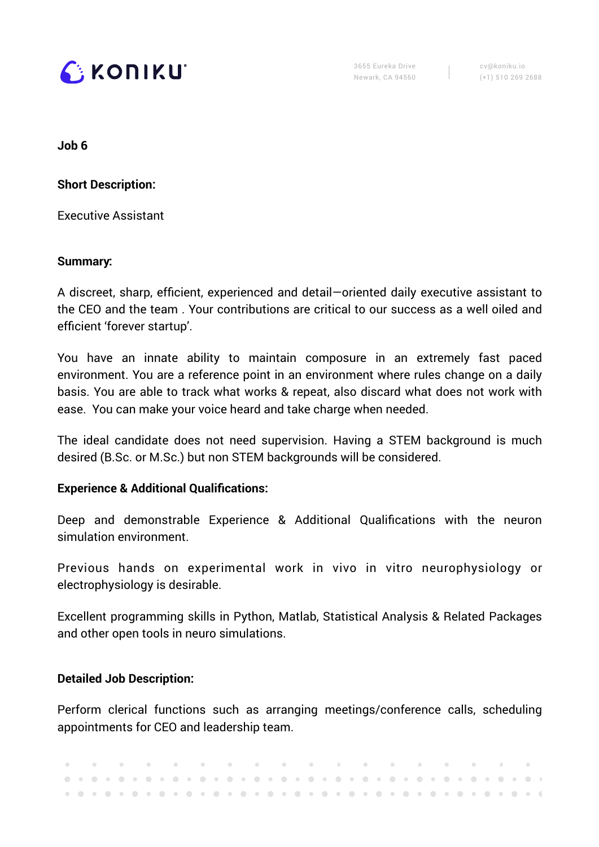

cv@koniku.io (+1) 510 269 2688

**Job 6**

**Short Description:** 

Executive Assistant

### **Summary:**

A discreet, sharp, efficient, experienced and detail—oriented daily executive assistant to the CEO and the team . Your contributions are critical to our success as a well oiled and efficient 'forever startup'.

You have an innate ability to maintain composure in an extremely fast paced environment. You are a reference point in an environment where rules change on a daily basis. You are able to track what works & repeat, also discard what does not work with ease. You can make your voice heard and take charge when needed.

The ideal candidate does not need supervision. Having a STEM background is much desired (B.Sc. or M.Sc.) but non STEM backgrounds will be considered.

### **Experience & Additional Qualifications:**

Deep and demonstrable Experience & Additional Qualifications with the neuron simulation environment.

Previous hands on experimental work in vivo in vitro neurophysiology or electrophysiology is desirable.

Excellent programming skills in Python, Matlab, Statistical Analysis & Related Packages and other open tools in neuro simulations.

### **Detailed Job Description:**

Perform clerical functions such as arranging meetings/conference calls, scheduling appointments for CEO and leadership team.

|  |  |  |  |  |  |  |  |  |  |  |  |  |  |  |  | . A set of a set of a set of a set of a set of $\mathcal{A}$ , and a set of a set of $\mathcal{A}$ |  |
|--|--|--|--|--|--|--|--|--|--|--|--|--|--|--|--|----------------------------------------------------------------------------------------------------|--|
|  |  |  |  |  |  |  |  |  |  |  |  |  |  |  |  |                                                                                                    |  |
|  |  |  |  |  |  |  |  |  |  |  |  |  |  |  |  |                                                                                                    |  |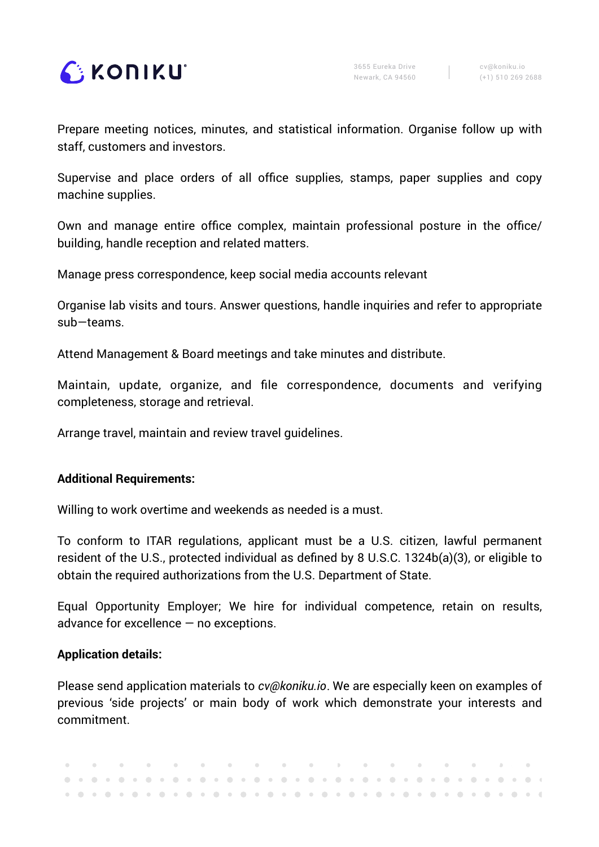

Prepare meeting notices, minutes, and statistical information. Organise follow up with staff, customers and investors.

Supervise and place orders of all office supplies, stamps, paper supplies and copy machine supplies.

Own and manage entire office complex, maintain professional posture in the office/ building, handle reception and related matters.

Manage press correspondence, keep social media accounts relevant

Organise lab visits and tours. Answer questions, handle inquiries and refer to appropriate sub—teams.

Attend Management & Board meetings and take minutes and distribute.

Maintain, update, organize, and file correspondence, documents and verifying completeness, storage and retrieval.

Arrange travel, maintain and review travel guidelines.

### **Additional Requirements:**

Willing to work overtime and weekends as needed is a must.

To conform to ITAR regulations, applicant must be a U.S. citizen, lawful permanent resident of the U.S., protected individual as defined by 8 U.S.C. 1324b(a)(3), or eligible to obtain the required authorizations from the U.S. Department of State.

Equal Opportunity Employer; We hire for individual competence, retain on results, advance for excellence — no exceptions.

### **Application details:**

Please send application materials to *[cv@koniku.io](mailto:cv@koniku.io)*. We are especially keen on examples of previous 'side projects' or main body of work which demonstrate your interests and commitment.

|  |  |  |  |  |  |  |  |  |  |  |  |  |  |  |  |  | . A set of the set of the set of the set of the set of the set of the set of the set of the set of the set of $\mathcal{A}$ |
|--|--|--|--|--|--|--|--|--|--|--|--|--|--|--|--|--|-----------------------------------------------------------------------------------------------------------------------------|
|  |  |  |  |  |  |  |  |  |  |  |  |  |  |  |  |  |                                                                                                                             |
|  |  |  |  |  |  |  |  |  |  |  |  |  |  |  |  |  |                                                                                                                             |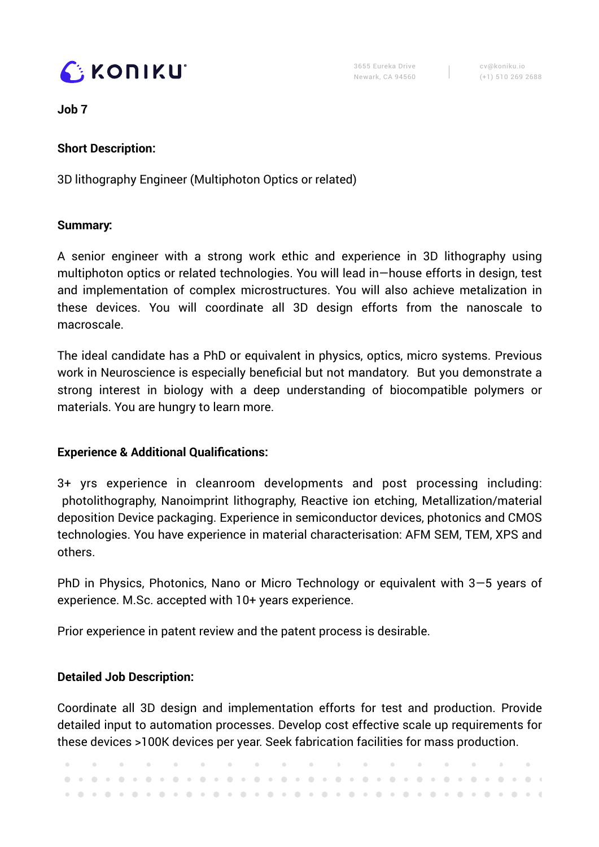

cv@koniku.io (+1) 510 269 2688

**Job 7**

## **Short Description:**

3D lithography Engineer (Multiphoton Optics or related)

## **Summary:**

A senior engineer with a strong work ethic and experience in 3D lithography using multiphoton optics or related technologies. You will lead in—house efforts in design, test and implementation of complex microstructures. You will also achieve metalization in these devices. You will coordinate all 3D design efforts from the nanoscale to macroscale.

The ideal candidate has a PhD or equivalent in physics, optics, micro systems. Previous work in Neuroscience is especially beneficial but not mandatory. But you demonstrate a strong interest in biology with a deep understanding of biocompatible polymers or materials. You are hungry to learn more.

## **Experience & Additional Qualifications:**

3+ yrs experience in cleanroom developments and post processing including: photolithography, Nanoimprint lithography, Reactive ion etching, Metallization/material deposition Device packaging. Experience in semiconductor devices, photonics and CMOS technologies. You have experience in material characterisation: AFM SEM, TEM, XPS and others.

PhD in Physics, Photonics, Nano or Micro Technology or equivalent with 3—5 years of experience. M.Sc. accepted with 10+ years experience.

Prior experience in patent review and the patent process is desirable.

## **Detailed Job Description:**

Coordinate all 3D design and implementation efforts for test and production. Provide detailed input to automation processes. Develop cost effective scale up requirements for these devices >100K devices per year. Seek fabrication facilities for mass production.

|  |  |  |  |  |  |  |  |  |  |  |  |  |  |  | . A second construction of the construction of the construction of the construction of $\mathbf{r}$ |  |  |  |
|--|--|--|--|--|--|--|--|--|--|--|--|--|--|--|-----------------------------------------------------------------------------------------------------|--|--|--|
|  |  |  |  |  |  |  |  |  |  |  |  |  |  |  |                                                                                                     |  |  |  |
|  |  |  |  |  |  |  |  |  |  |  |  |  |  |  |                                                                                                     |  |  |  |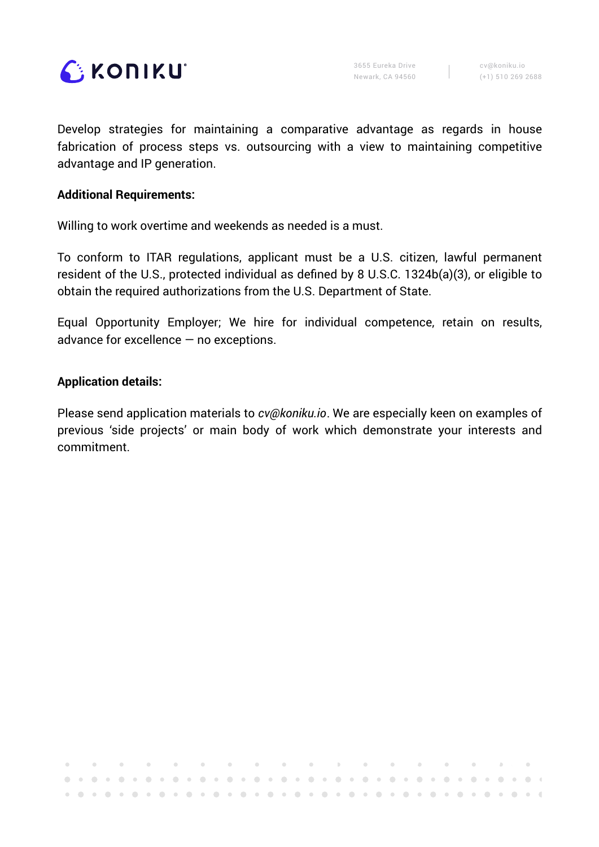

Develop strategies for maintaining a comparative advantage as regards in house fabrication of process steps vs. outsourcing with a view to maintaining competitive advantage and IP generation.

#### **Additional Requirements:**

Willing to work overtime and weekends as needed is a must.

To conform to ITAR regulations, applicant must be a U.S. citizen, lawful permanent resident of the U.S., protected individual as defined by 8 U.S.C. 1324b(a)(3), or eligible to obtain the required authorizations from the U.S. Department of State.

Equal Opportunity Employer; We hire for individual competence, retain on results, advance for excellence  $-$  no exceptions.

#### **Application details:**

Please send application materials to *[cv@koniku.io](mailto:cv@koniku.io)*. We are especially keen on examples of previous 'side projects' or main body of work which demonstrate your interests and commitment.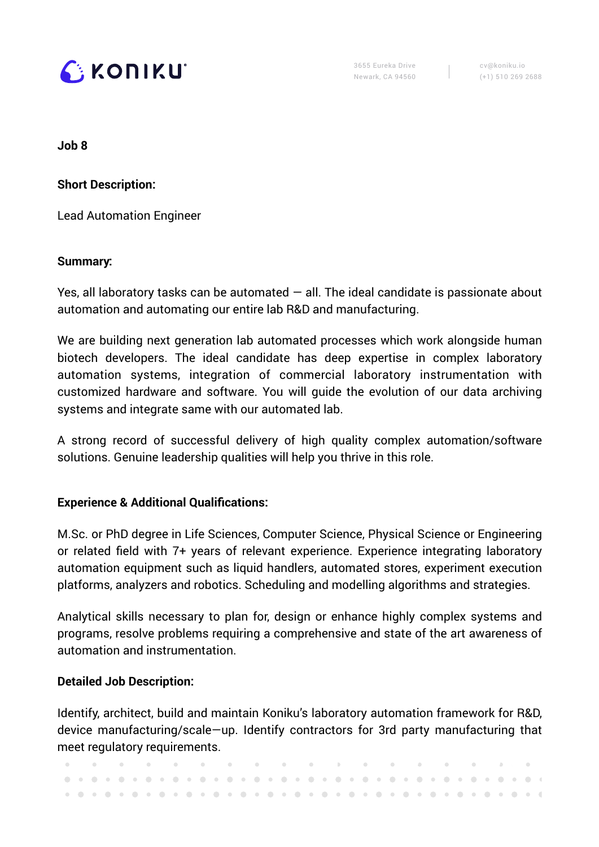

cv@koniku.io (+1) 510 269 2688

**Job 8**

**Short Description:** 

Lead Automation Engineer

### **Summary:**

Yes, all laboratory tasks can be automated  $-$  all. The ideal candidate is passionate about automation and automating our entire lab R&D and manufacturing.

We are building next generation lab automated processes which work alongside human biotech developers. The ideal candidate has deep expertise in complex laboratory automation systems, integration of commercial laboratory instrumentation with customized hardware and software. You will guide the evolution of our data archiving systems and integrate same with our automated lab.

A strong record of successful delivery of high quality complex automation/software solutions. Genuine leadership qualities will help you thrive in this role.

### **Experience & Additional Qualifications:**

M.Sc. or PhD degree in Life Sciences, Computer Science, Physical Science or Engineering or related field with 7+ years of relevant experience. Experience integrating laboratory automation equipment such as liquid handlers, automated stores, experiment execution platforms, analyzers and robotics. Scheduling and modelling algorithms and strategies.

Analytical skills necessary to plan for, design or enhance highly complex systems and programs, resolve problems requiring a comprehensive and state of the art awareness of automation and instrumentation.

### **Detailed Job Description:**

Identify, architect, build and maintain Koniku's laboratory automation framework for R&D, device manufacturing/scale—up. Identify contractors for 3rd party manufacturing that meet regulatory requirements.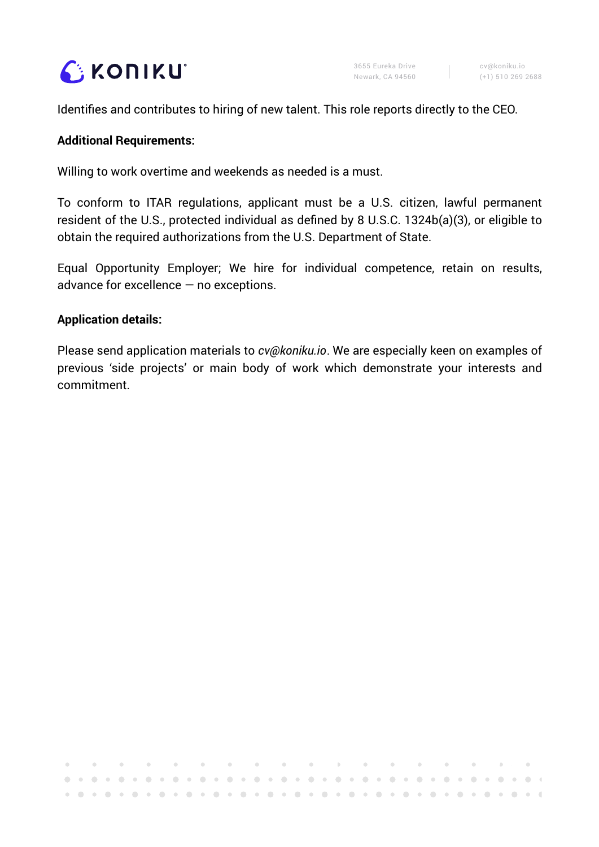

 $\Delta$ 

Identifies and contributes to hiring of new talent. This role reports directly to the CEO.

### **Additional Requirements:**

Willing to work overtime and weekends as needed is a must.

To conform to ITAR regulations, applicant must be a U.S. citizen, lawful permanent resident of the U.S., protected individual as defined by 8 U.S.C. 1324b(a)(3), or eligible to obtain the required authorizations from the U.S. Department of State.

Equal Opportunity Employer; We hire for individual competence, retain on results, advance for excellence — no exceptions.

#### **Application details:**

Please send application materials to *[cv@koniku.io](mailto:cv@koniku.io)*. We are especially keen on examples of previous 'side projects' or main body of work which demonstrate your interests and commitment.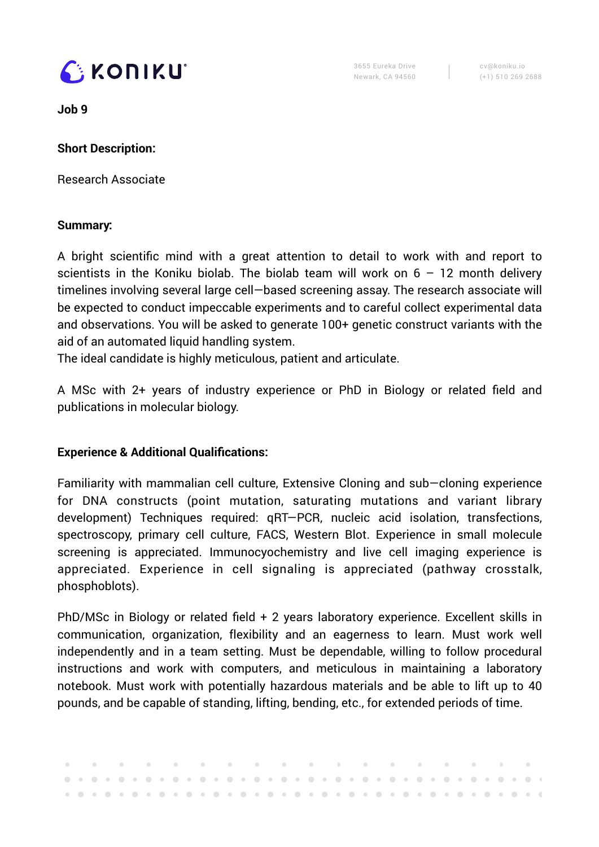

cv@koniku.io (+1) 510 269 2688

**Job 9**

## **Short Description:**

Research Associate

### **Summary:**

A bright scientific mind with a great attention to detail to work with and report to scientists in the Koniku biolab. The biolab team will work on  $6 - 12$  month delivery timelines involving several large cell—based screening assay. The research associate will be expected to conduct impeccable experiments and to careful collect experimental data and observations. You will be asked to generate 100+ genetic construct variants with the aid of an automated liquid handling system.

The ideal candidate is highly meticulous, patient and articulate.

A MSc with 2+ years of industry experience or PhD in Biology or related field and publications in molecular biology.

## **Experience & Additional Qualifications:**

Familiarity with mammalian cell culture, Extensive Cloning and sub—cloning experience for DNA constructs (point mutation, saturating mutations and variant library development) Techniques required: qRT—PCR, nucleic acid isolation, transfections, spectroscopy, primary cell culture, FACS, Western Blot. Experience in small molecule screening is appreciated. Immunocyochemistry and live cell imaging experience is appreciated. Experience in cell signaling is appreciated (pathway crosstalk, phosphoblots).

PhD/MSc in Biology or related field + 2 years laboratory experience. Excellent skills in communication, organization, flexibility and an eagerness to learn. Must work well independently and in a team setting. Must be dependable, willing to follow procedural instructions and work with computers, and meticulous in maintaining a laboratory notebook. Must work with potentially hazardous materials and be able to lift up to 40 pounds, and be capable of standing, lifting, bending, etc., for extended periods of time.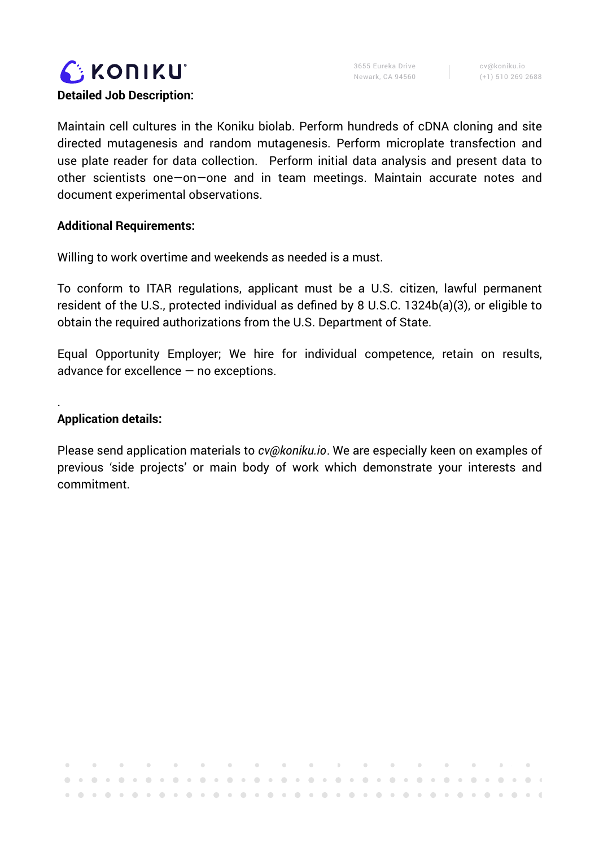

Maintain cell cultures in the Koniku biolab. Perform hundreds of cDNA cloning and site directed mutagenesis and random mutagenesis. Perform microplate transfection and use plate reader for data collection. Perform initial data analysis and present data to other scientists one—on—one and in team meetings. Maintain accurate notes and document experimental observations.

### **Additional Requirements:**

Willing to work overtime and weekends as needed is a must.

To conform to ITAR regulations, applicant must be a U.S. citizen, lawful permanent resident of the U.S., protected individual as defined by 8 U.S.C. 1324b(a)(3), or eligible to obtain the required authorizations from the U.S. Department of State.

Equal Opportunity Employer; We hire for individual competence, retain on results, advance for excellence — no exceptions.

**Application details:**

.

Please send application materials to *[cv@koniku.io](mailto:cv@koniku.io)*. We are especially keen on examples of previous 'side projects' or main body of work which demonstrate your interests and commitment.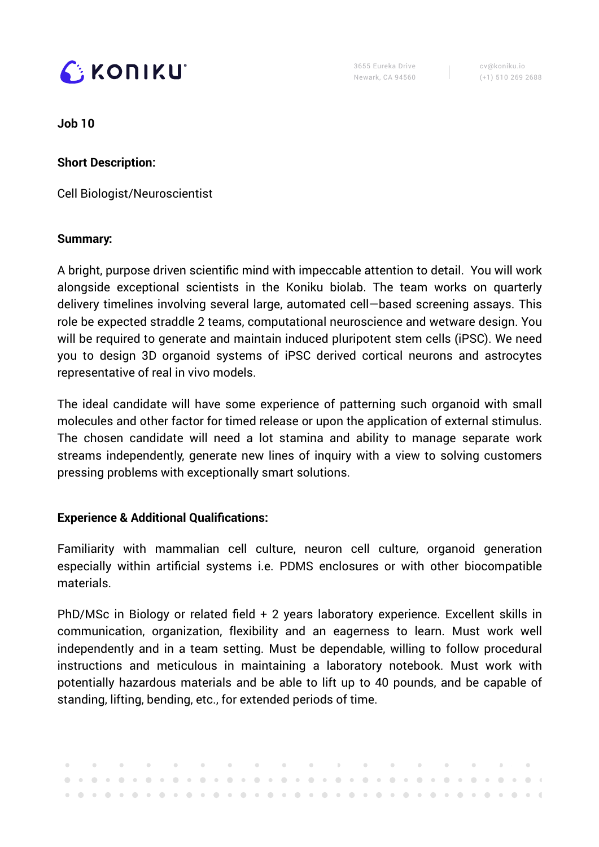

cv@koniku.io (+1) 510 269 2688

**Job 10**

**Short Description:** 

Cell Biologist/Neuroscientist

### **Summary:**

A bright, purpose driven scientific mind with impeccable attention to detail. You will work alongside exceptional scientists in the Koniku biolab. The team works on quarterly delivery timelines involving several large, automated cell—based screening assays. This role be expected straddle 2 teams, computational neuroscience and wetware design. You will be required to generate and maintain induced pluripotent stem cells (iPSC). We need you to design 3D organoid systems of iPSC derived cortical neurons and astrocytes representative of real in vivo models.

The ideal candidate will have some experience of patterning such organoid with small molecules and other factor for timed release or upon the application of external stimulus. The chosen candidate will need a lot stamina and ability to manage separate work streams independently, generate new lines of inquiry with a view to solving customers pressing problems with exceptionally smart solutions.

## **Experience & Additional Qualifications:**

Familiarity with mammalian cell culture, neuron cell culture, organoid generation especially within artificial systems i.e. PDMS enclosures or with other biocompatible materials.

PhD/MSc in Biology or related field + 2 years laboratory experience. Excellent skills in communication, organization, flexibility and an eagerness to learn. Must work well independently and in a team setting. Must be dependable, willing to follow procedural instructions and meticulous in maintaining a laboratory notebook. Must work with potentially hazardous materials and be able to lift up to 40 pounds, and be capable of standing, lifting, bending, etc., for extended periods of time.

|  |  |  |  |  |  |  |  |  |  |  |  |  |  |  |  |  | . A second construction of the construction of the construction of the construction of $\mathbf{r}_i$ |
|--|--|--|--|--|--|--|--|--|--|--|--|--|--|--|--|--|-------------------------------------------------------------------------------------------------------|
|  |  |  |  |  |  |  |  |  |  |  |  |  |  |  |  |  |                                                                                                       |
|  |  |  |  |  |  |  |  |  |  |  |  |  |  |  |  |  |                                                                                                       |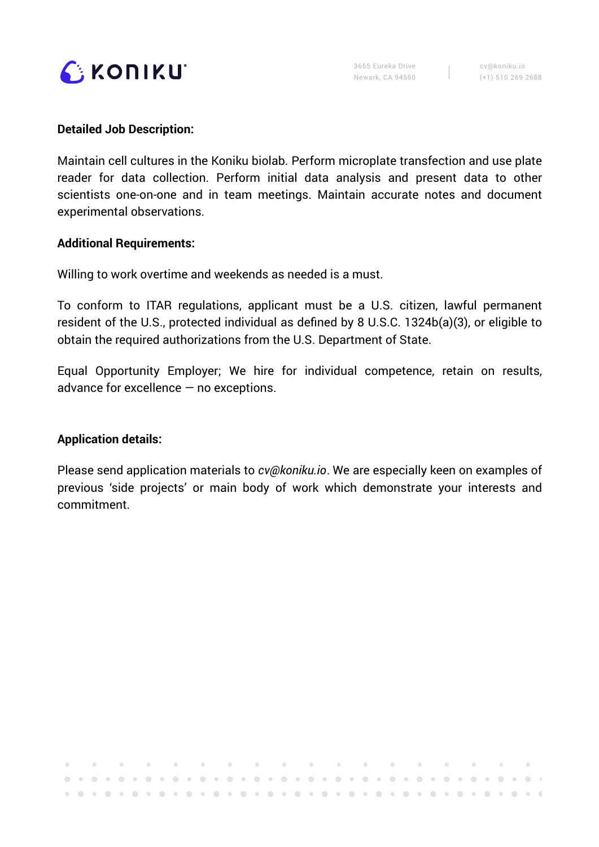

#### **Detailed Job Description:**

Maintain cell cultures in the Koniku biolab. Perform microplate transfection and use plate reader for data collection. Perform initial data analysis and present data to other scientists one-on-one and in team meetings. Maintain accurate notes and document experimental observations.

#### **Additional Requirements:**

Willing to work overtime and weekends as needed is a must.

To conform to ITAR regulations, applicant must be a U.S. citizen, lawful permanent resident of the U.S., protected individual as defined by 8 U.S.C. 1324b(a)(3), or eligible to obtain the required authorizations from the U.S. Department of State.

Equal Opportunity Employer; We hire for individual competence, retain on results, advance for excellence — no exceptions.

### **Application details:**

 $\bullet$ 

 $\sim 0.1$ 

Please send application materials to *[cv@koniku.io](mailto:cv@koniku.io)*. We are especially keen on examples of previous 'side projects' or main body of work which demonstrate your interests and commitment.

 $\mathbf{0}$  , and  $\mathbf{0}$  , and  $\mathbf{0}$ 

 $\mathbf{u} = \mathbf{u} + \mathbf{u} + \mathbf{u} + \mathbf{u} + \mathbf{u} + \mathbf{u} + \mathbf{u} + \mathbf{u} + \mathbf{u} + \mathbf{u} + \mathbf{u} + \mathbf{u} + \mathbf{u} + \mathbf{u} + \mathbf{u} + \mathbf{u} + \mathbf{u} + \mathbf{u} + \mathbf{u} + \mathbf{u} + \mathbf{u} + \mathbf{u} + \mathbf{u} + \mathbf{u} + \mathbf{u} + \mathbf{u} + \mathbf{u} + \mathbf{u} + \mathbf{u} + \mathbf{u} + \mathbf$ 

 $\sim 10^{-11}$ 

 $\sim 10^{-11}$ 

 $\mathcal{F}$ 

 $\bar{f}$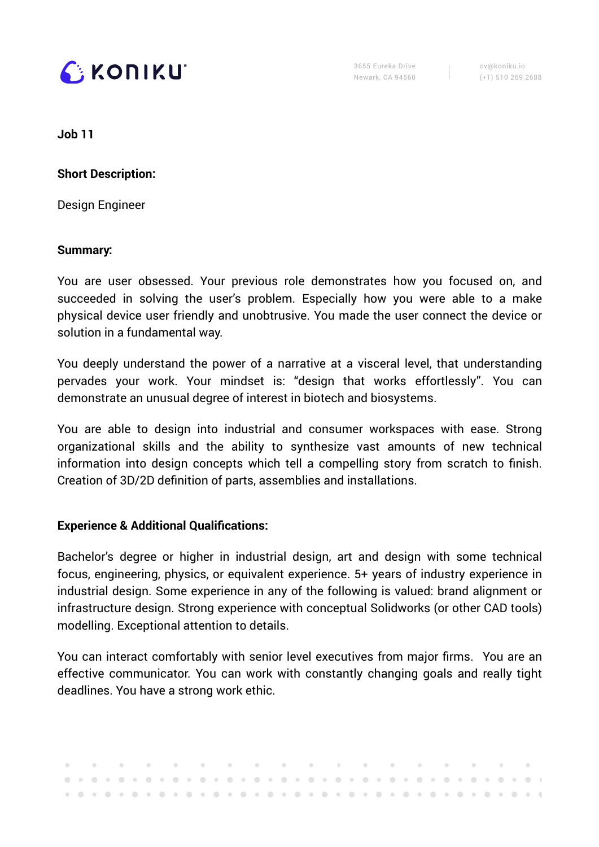

cv@koniku.io (+1) 510 269 2688

**Job 11**

**Short Description:** 

Design Engineer

#### **Summary:**

You are user obsessed. Your previous role demonstrates how you focused on, and succeeded in solving the user's problem. Especially how you were able to a make physical device user friendly and unobtrusive. You made the user connect the device or solution in a fundamental way.

You deeply understand the power of a narrative at a visceral level, that understanding pervades your work. Your mindset is: "design that works effortlessly". You can demonstrate an unusual degree of interest in biotech and biosystems.

You are able to design into industrial and consumer workspaces with ease. Strong organizational skills and the ability to synthesize vast amounts of new technical information into design concepts which tell a compelling story from scratch to finish. Creation of 3D/2D definition of parts, assemblies and installations.

### **Experience & Additional Qualifications:**

Bachelor's degree or higher in industrial design, art and design with some technical focus, engineering, physics, or equivalent experience. 5+ years of industry experience in industrial design. Some experience in any of the following is valued: brand alignment or infrastructure design. Strong experience with conceptual Solidworks (or other CAD tools) modelling. Exceptional attention to details.

You can interact comfortably with senior level executives from major firms. You are an effective communicator. You can work with constantly changing goals and really tight deadlines. You have a strong work ethic.

|  |  |  |  |  |  |  |  |  |  |  |  |  |  |  |  |  | . A set of the set of the set of the set of the set of $\mathcal{A}$ , and the set of the set of $\mathcal{A}$ |
|--|--|--|--|--|--|--|--|--|--|--|--|--|--|--|--|--|----------------------------------------------------------------------------------------------------------------|
|  |  |  |  |  |  |  |  |  |  |  |  |  |  |  |  |  |                                                                                                                |
|  |  |  |  |  |  |  |  |  |  |  |  |  |  |  |  |  |                                                                                                                |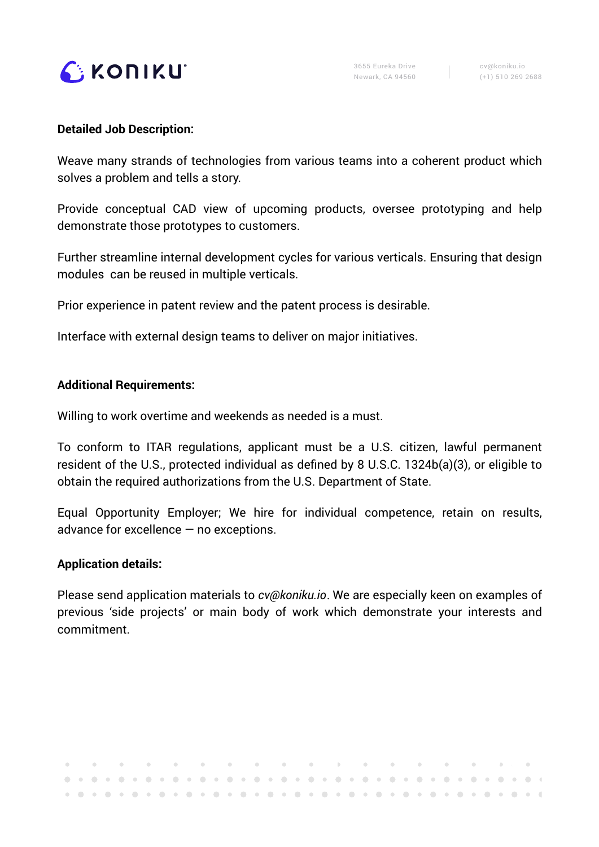

#### **Detailed Job Description:**

Weave many strands of technologies from various teams into a coherent product which solves a problem and tells a story.

Provide conceptual CAD view of upcoming products, oversee prototyping and help demonstrate those prototypes to customers.

Further streamline internal development cycles for various verticals. Ensuring that design modules can be reused in multiple verticals.

Prior experience in patent review and the patent process is desirable.

Interface with external design teams to deliver on major initiatives.

#### **Additional Requirements:**

Willing to work overtime and weekends as needed is a must.

To conform to ITAR regulations, applicant must be a U.S. citizen, lawful permanent resident of the U.S., protected individual as defined by 8 U.S.C. 1324b(a)(3), or eligible to obtain the required authorizations from the U.S. Department of State.

Equal Opportunity Employer; We hire for individual competence, retain on results, advance for excellence — no exceptions.

### **Application details:**

Please send application materials to *[cv@koniku.io](mailto:cv@koniku.io)*. We are especially keen on examples of previous 'side projects' or main body of work which demonstrate your interests and commitment.